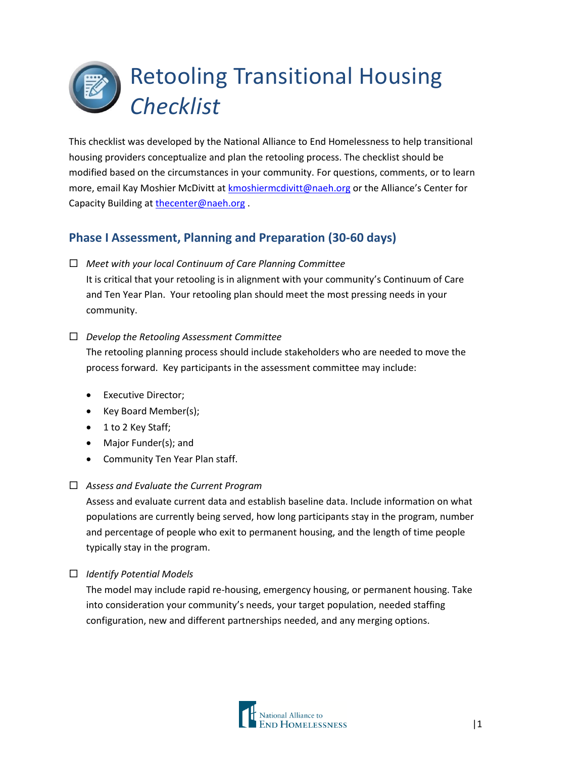# Retooling Transitional Housing *Checklist*

This checklist was developed by the National Alliance to End Homelessness to help transitional housing providers conceptualize and plan the retooling process. The checklist should be modified based on the circumstances in your community. For questions, comments, or to learn more, email Kay Moshier McDivitt at [kmoshiermcdivitt@naeh.org](mailto:kmoshiermcdivitt@naeh.org) or the Alliance's Center for Capacity Building a[t thecenter@naeh.org](mailto:thecenter@naeh.org) .

# **Phase I Assessment, Planning and Preparation (30-60 days)**

*Meet with your local Continuum of Care Planning Committee*

It is critical that your retooling is in alignment with your community's Continuum of Care and Ten Year Plan. Your retooling plan should meet the most pressing needs in your community.

## *Develop the Retooling Assessment Committee*

The retooling planning process should include stakeholders who are needed to move the process forward. Key participants in the assessment committee may include:

- Executive Director;
- Key Board Member(s);
- 1 to 2 Key Staff;
- Major Funder(s); and
- Community Ten Year Plan staff.

### *Assess and Evaluate the Current Program*

Assess and evaluate current data and establish baseline data. Include information on what populations are currently being served, how long participants stay in the program, number and percentage of people who exit to permanent housing, and the length of time people typically stay in the program.

## *Identify Potential Models*

The model may include rapid re-housing, emergency housing, or permanent housing. Take into consideration your community's needs, your target population, needed staffing configuration, new and different partnerships needed, and any merging options.

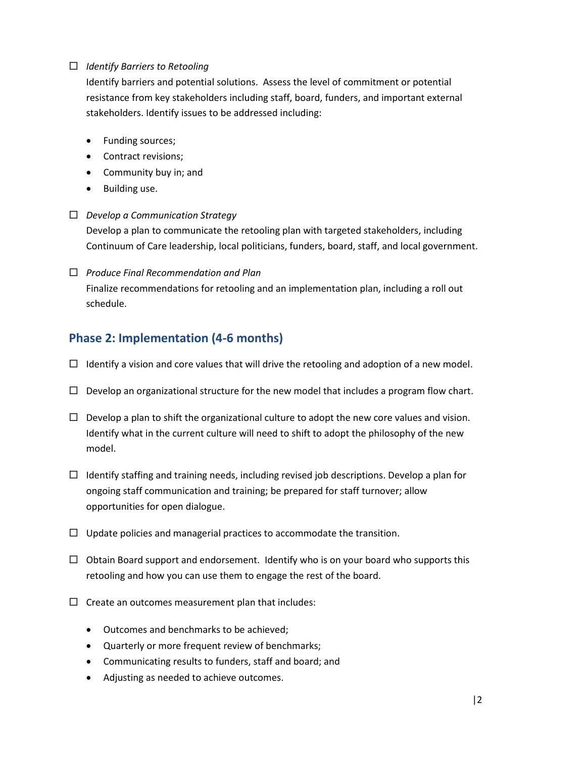#### *Identify Barriers to Retooling*

Identify barriers and potential solutions. Assess the level of commitment or potential resistance from key stakeholders including staff, board, funders, and important external stakeholders. Identify issues to be addressed including:

- Funding sources;
- Contract revisions;
- Community buy in; and
- Building use.

#### *Develop a Communication Strategy*

Develop a plan to communicate the retooling plan with targeted stakeholders, including Continuum of Care leadership, local politicians, funders, board, staff, and local government.

 *Produce Final Recommendation and Plan* Finalize recommendations for retooling and an implementation plan, including a roll out schedule.

## **Phase 2: Implementation (4-6 months)**

- $\Box$  Identify a vision and core values that will drive the retooling and adoption of a new model.
- $\Box$  Develop an organizational structure for the new model that includes a program flow chart.
- $\Box$  Develop a plan to shift the organizational culture to adopt the new core values and vision. Identify what in the current culture will need to shift to adopt the philosophy of the new model.
- $\Box$  Identify staffing and training needs, including revised job descriptions. Develop a plan for ongoing staff communication and training; be prepared for staff turnover; allow opportunities for open dialogue.
- $\Box$  Update policies and managerial practices to accommodate the transition.
- $\Box$  Obtain Board support and endorsement. Identify who is on your board who supports this retooling and how you can use them to engage the rest of the board.
- $\Box$  Create an outcomes measurement plan that includes:
	- Outcomes and benchmarks to be achieved;
	- Quarterly or more frequent review of benchmarks;
	- Communicating results to funders, staff and board; and
	- Adjusting as needed to achieve outcomes.